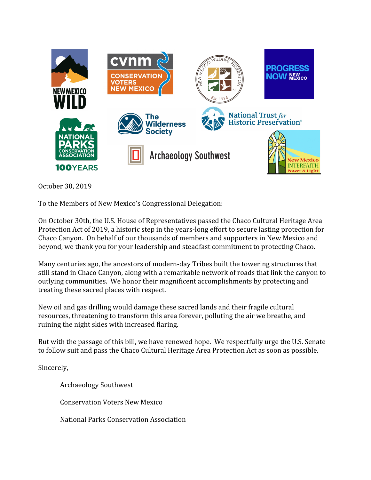

October 30, 2019

To the Members of New Mexico's Congressional Delegation:

On October 30th, the U.S. House of Representatives passed the Chaco Cultural Heritage Area Protection Act of 2019, a historic step in the years-long effort to secure lasting protection for Chaco Canyon. On behalf of our thousands of members and supporters in New Mexico and beyond, we thank you for your leadership and steadfast commitment to protecting Chaco.

Many centuries ago, the ancestors of modern-day Tribes built the towering structures that still stand in Chaco Canyon, along with a remarkable network of roads that link the canyon to outlying communities. We honor their magnificent accomplishments by protecting and treating these sacred places with respect.

New oil and gas drilling would damage these sacred lands and their fragile cultural resources, threatening to transform this area forever, polluting the air we breathe, and ruining the night skies with increased flaring.

But with the passage of this bill, we have renewed hope. We respectfully urge the U.S. Senate to follow suit and pass the Chaco Cultural Heritage Area Protection Act as soon as possible.

Sincerely,

Archaeology Southwest

Conservation Voters New Mexico

National Parks Conservation Association